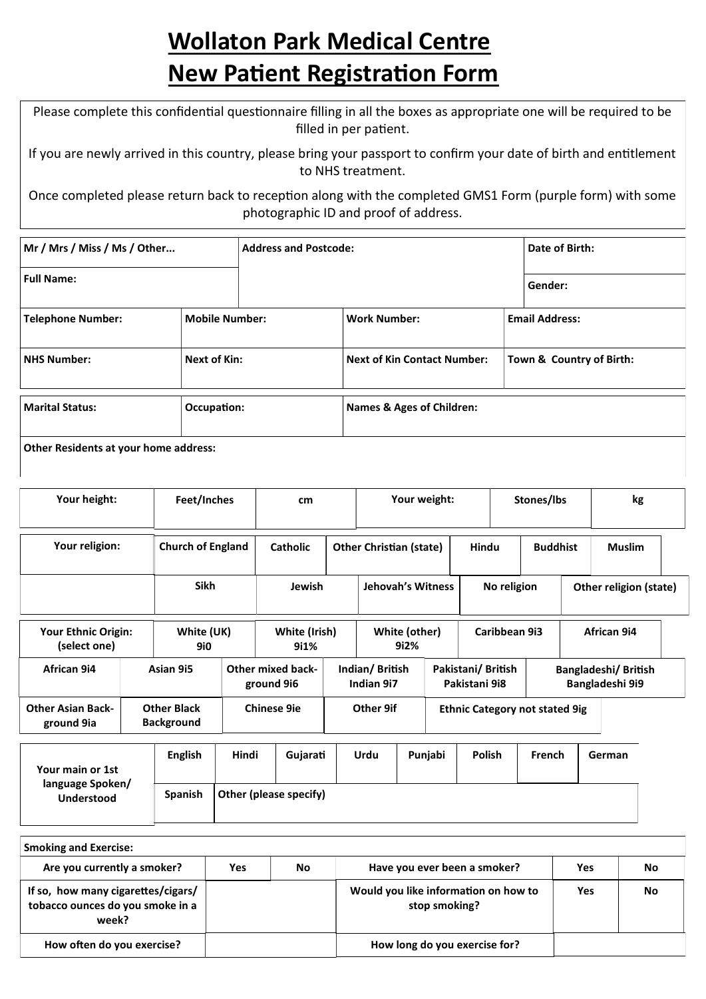## **Wollaton Park Medical Centre New Patient Registration Form**

Please complete this confidential questionnaire filling in all the boxes as appropriate one will be required to be filled in per patient.

If you are newly arrived in this country, please bring your passport to confirm your date of birth and entitlement to NHS treatment.

Once completed please return back to reception along with the completed GMS1 Form (purple form) with some photographic ID and proof of address.

| Mr / Mrs / Miss / Ms / Other                 |                                              | <b>Address and Postcode:</b> |                           |                                    | Date of Birth:        |                          |  |
|----------------------------------------------|----------------------------------------------|------------------------------|---------------------------|------------------------------------|-----------------------|--------------------------|--|
| <b>Full Name:</b>                            |                                              |                              |                           |                                    |                       | Gender:                  |  |
| <b>Telephone Number:</b>                     | <b>Mobile Number:</b><br><b>Work Number:</b> |                              |                           |                                    | <b>Email Address:</b> |                          |  |
| Next of Kin:<br><b>NHS Number:</b>           |                                              |                              |                           | <b>Next of Kin Contact Number:</b> |                       | Town & Country of Birth: |  |
| <b>Marital Status:</b>                       | Occupation:                                  |                              | Names & Ages of Children: |                                    |                       |                          |  |
| <b>Other Residents at your home address:</b> |                                              |                              |                           |                                    |                       |                          |  |

| Your height:                               |  | Feet/Inches                             |       | cm                                     |                                                    |                       | Your weight: |                                    | kg<br>Stones/lbs |  |                                                |
|--------------------------------------------|--|-----------------------------------------|-------|----------------------------------------|----------------------------------------------------|-----------------------|--------------|------------------------------------|------------------|--|------------------------------------------------|
| Your religion:                             |  | <b>Church of England</b>                |       | <b>Catholic</b>                        | <b>Other Christian (state)</b>                     |                       |              | Hindu                              | <b>Buddhist</b>  |  | <b>Muslim</b>                                  |
|                                            |  | <b>Sikh</b>                             |       | Jewish                                 | <b>Jehovah's Witness</b>                           |                       |              | No religion                        |                  |  | Other religion (state)                         |
| <b>Your Ethnic Origin:</b><br>(select one) |  | White (UK)<br><b>9i0</b>                |       | White (Irish)<br>9i1%                  |                                                    | White (other)<br>9i2% |              | Caribbean 9i3                      | African 9i4      |  |                                                |
| African 9i4                                |  | Asian 9i5                               |       | <b>Other mixed back-</b><br>ground 9i6 | Indian/British<br>Indian 9i7                       |                       |              | Pakistani/British<br>Pakistani 9i8 |                  |  | <b>Bangladeshi/ British</b><br>Bangladeshi 9i9 |
| <b>Other Asian Back-</b><br>ground 9ia     |  | <b>Other Black</b><br><b>Background</b> |       | <b>Chinese 9ie</b>                     | Other 9if<br><b>Ethnic Category not stated 9ig</b> |                       |              |                                    |                  |  |                                                |
|                                            |  | <b>English</b>                          | Hindi | Gujarati                               | <b>Urdu</b>                                        |                       | Punjabi      | <b>Polish</b>                      | French           |  | German                                         |

| Your main or 1st                      | <b>English</b> | Hindi                  | Guiarati | Urdu | Puniabi | <b>Polish</b> | French | German |
|---------------------------------------|----------------|------------------------|----------|------|---------|---------------|--------|--------|
| language Spoken/<br><b>Understood</b> | <b>Spanish</b> | Other (please specify) |          |      |         |               |        |        |

| <b>Smoking and Exercise:</b>                                                    |     |    |                                                       |            |    |
|---------------------------------------------------------------------------------|-----|----|-------------------------------------------------------|------------|----|
| Are you currently a smoker?                                                     | Yes | No | Have you ever been a smoker?                          | Yes        | No |
| If so, how many cigarettes/cigars/<br>tobacco ounces do you smoke in a<br>week? |     |    | Would you like information on how to<br>stop smoking? | <b>Yes</b> | No |
| How often do you exercise?                                                      |     |    | How long do you exercise for?                         |            |    |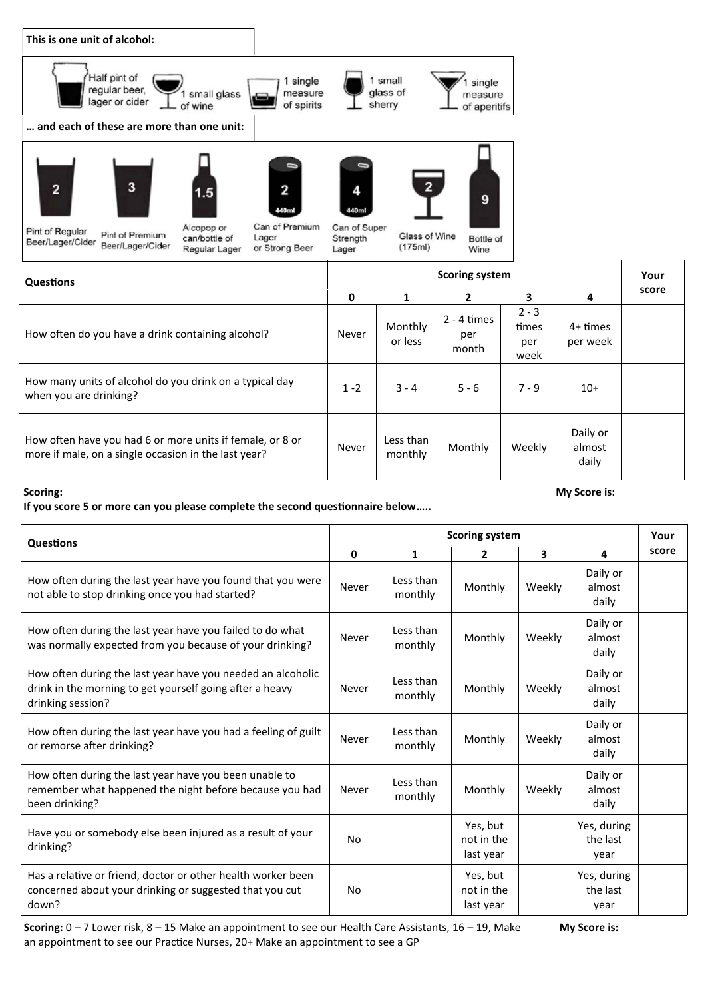

| peen Lagen Cluer<br>Beer/Lager/Cider<br>or Strong Beer<br>Regular Lager                                           | Lager   | (175ml)               | Wine                          |                                 |                             |       |  |  |
|-------------------------------------------------------------------------------------------------------------------|---------|-----------------------|-------------------------------|---------------------------------|-----------------------------|-------|--|--|
| <b>Questions</b>                                                                                                  |         | <b>Scoring system</b> |                               |                                 |                             |       |  |  |
|                                                                                                                   | 0       | 1                     | $\mathbf{2}$                  | 3                               | 4                           | score |  |  |
| How often do you have a drink containing alcohol?                                                                 | Never   | Monthly<br>or less    | $2 - 4$ times<br>per<br>month | $2 - 3$<br>times<br>per<br>week | 4+ times<br>per week        |       |  |  |
| How many units of alcohol do you drink on a typical day<br>when you are drinking?                                 | $1 - 2$ | $3 - 4$               | $5 - 6$                       | $7 - 9$                         | $10+$                       |       |  |  |
| How often have you had 6 or more units if female, or 8 or<br>more if male, on a single occasion in the last year? | Never   | Less than<br>monthly  | Monthly                       | Weekly                          | Daily or<br>almost<br>daily |       |  |  |

 $(175ml)$ 

## **Scoring:**

**If you score 5 or more can you please complete the second questionnaire below…..**

| Questions                                                                                                                                    |       |                      | <b>Scoring system</b>               |                         |                                 | Your  |
|----------------------------------------------------------------------------------------------------------------------------------------------|-------|----------------------|-------------------------------------|-------------------------|---------------------------------|-------|
|                                                                                                                                              | 0     | $\mathbf{1}$         | $\overline{2}$                      | $\overline{\mathbf{3}}$ | 4                               | score |
| How often during the last year have you found that you were<br>not able to stop drinking once you had started?                               | Never | Less than<br>monthly | Monthly                             | Weekly                  | Daily or<br>almost<br>daily     |       |
| How often during the last year have you failed to do what<br>was normally expected from you because of your drinking?                        | Never | Less than<br>monthly | Monthly                             | Weekly                  | Daily or<br>almost<br>daily     |       |
| How often during the last year have you needed an alcoholic<br>drink in the morning to get yourself going after a heavy<br>drinking session? | Never | Less than<br>monthly | Monthly                             | Weekly                  | Daily or<br>almost<br>daily     |       |
| How often during the last year have you had a feeling of guilt<br>or remorse after drinking?                                                 | Never | Less than<br>monthly | Monthly                             | Weekly                  | Daily or<br>almost<br>daily     |       |
| How often during the last year have you been unable to<br>remember what happened the night before because you had<br>been drinking?          | Never | Less than<br>monthly | Monthly                             | Weekly                  | Daily or<br>almost<br>daily     |       |
| Have you or somebody else been injured as a result of your<br>drinking?                                                                      | No    |                      | Yes, but<br>not in the<br>last year |                         | Yes, during<br>the last<br>year |       |
| Has a relative or friend, doctor or other health worker been<br>concerned about your drinking or suggested that you cut<br>down?             | No    |                      | Yes, but<br>not in the<br>last year |                         | Yes, during<br>the last<br>year |       |

**Scoring:** 0 – 7 Lower risk, 8 – 15 Make an appointment to see our Health Care Assistants, 16 – 19, Make **My Score is:** an appointment to see our Practice Nurses, 20+ Make an appointment to see a GP

**My Score is:**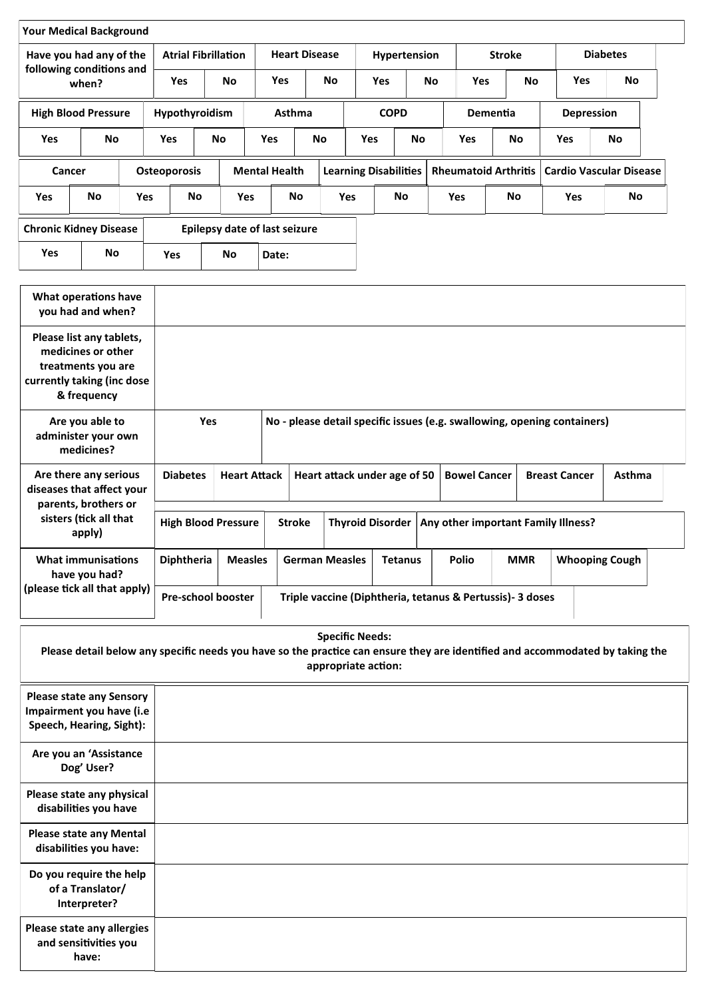| Have you had any of the<br>following conditions and |                               |            | <b>Atrial Fibrillation</b> |                               |                      | <b>Heart Disease</b> |            | Hypertension                 |             |           | <b>Stroke</b>               | <b>Diabetes</b> |                   |                                |
|-----------------------------------------------------|-------------------------------|------------|----------------------------|-------------------------------|----------------------|----------------------|------------|------------------------------|-------------|-----------|-----------------------------|-----------------|-------------------|--------------------------------|
|                                                     | when?                         |            | Yes                        | No                            | <b>Yes</b>           |                      | <b>No</b>  | <b>Yes</b>                   |             | <b>No</b> | <b>Yes</b>                  | <b>No</b>       | <b>Yes</b>        | No                             |
|                                                     | <b>High Blood Pressure</b>    |            | <b>Hypothyroidism</b>      |                               |                      | <b>Asthma</b>        |            |                              | <b>COPD</b> |           | Dementia                    |                 | <b>Depression</b> |                                |
| <b>Yes</b>                                          | <b>No</b>                     |            | <b>Yes</b>                 | <b>No</b>                     | <b>Yes</b>           | <b>No</b>            |            | <b>Yes</b>                   | No          |           | <b>Yes</b>                  | <b>No</b>       | <b>Yes</b>        | <b>No</b>                      |
| Cancer                                              |                               |            | <b>Osteoporosis</b>        |                               | <b>Mental Health</b> |                      |            | <b>Learning Disabilities</b> |             |           | <b>Rheumatoid Arthritis</b> |                 |                   | <b>Cardio Vascular Disease</b> |
| <b>Yes</b>                                          | <b>No</b>                     | <b>Yes</b> | No                         |                               | <b>Yes</b>           | No                   | <b>Yes</b> |                              | <b>No</b>   |           | <b>Yes</b>                  | <b>No</b>       | <b>Yes</b>        | No                             |
|                                                     | <b>Chronic Kidney Disease</b> |            |                            | Epilepsy date of last seizure |                      |                      |            |                              |             |           |                             |                 |                   |                                |
| Yes                                                 | No                            |            | <b>Yes</b>                 | No                            | Date:                |                      |            |                              |             |           |                             |                 |                   |                                |

| What operations have<br>you had and when?                                                                         |                            |                     |                                                                          |                              |                         |                                                            |            |                       |        |  |
|-------------------------------------------------------------------------------------------------------------------|----------------------------|---------------------|--------------------------------------------------------------------------|------------------------------|-------------------------|------------------------------------------------------------|------------|-----------------------|--------|--|
| Please list any tablets,<br>medicines or other<br>treatments you are<br>currently taking (inc dose<br>& frequency |                            |                     |                                                                          |                              |                         |                                                            |            |                       |        |  |
| Are you able to<br>administer your own<br>medicines?                                                              | <b>Yes</b>                 |                     | No - please detail specific issues (e.g. swallowing, opening containers) |                              |                         |                                                            |            |                       |        |  |
| Are there any serious<br>diseases that affect your<br>parents, brothers or                                        | <b>Diabetes</b>            | <b>Heart Attack</b> |                                                                          | Heart attack under age of 50 |                         | <b>Bowel Cancer</b>                                        |            | <b>Breast Cancer</b>  | Asthma |  |
| sisters (tick all that<br>apply)                                                                                  | <b>High Blood Pressure</b> |                     | <b>Stroke</b>                                                            |                              | <b>Thyroid Disorder</b> | Any other important Family Illness?                        |            |                       |        |  |
| <b>What immunisations</b><br>have you had?                                                                        | <b>Diphtheria</b>          | <b>Measles</b>      |                                                                          | <b>German Measles</b>        | <b>Tetanus</b>          | Polio                                                      | <b>MMR</b> | <b>Whooping Cough</b> |        |  |
| (please tick all that apply)                                                                                      | <b>Pre-school booster</b>  |                     |                                                                          |                              |                         | Triple vaccine (Diphtheria, tetanus & Pertussis) - 3 doses |            |                       |        |  |

| <b>Specific Needs:</b><br>Please detail below any specific needs you have so the practice can ensure they are identified and accommodated by taking the<br>appropriate action: |  |  |  |  |  |  |  |  |  |  |  |
|--------------------------------------------------------------------------------------------------------------------------------------------------------------------------------|--|--|--|--|--|--|--|--|--|--|--|
| <b>Please state any Sensory</b><br>Impairment you have (i.e<br>Speech, Hearing, Sight):                                                                                        |  |  |  |  |  |  |  |  |  |  |  |
| Are you an 'Assistance<br>Dog' User?                                                                                                                                           |  |  |  |  |  |  |  |  |  |  |  |
| Please state any physical<br>disabilities you have                                                                                                                             |  |  |  |  |  |  |  |  |  |  |  |
| <b>Please state any Mental</b><br>disabilities you have:                                                                                                                       |  |  |  |  |  |  |  |  |  |  |  |
| Do you require the help<br>of a Translator/<br>Interpreter?                                                                                                                    |  |  |  |  |  |  |  |  |  |  |  |
| Please state any allergies<br>and sensitivities you<br>have:                                                                                                                   |  |  |  |  |  |  |  |  |  |  |  |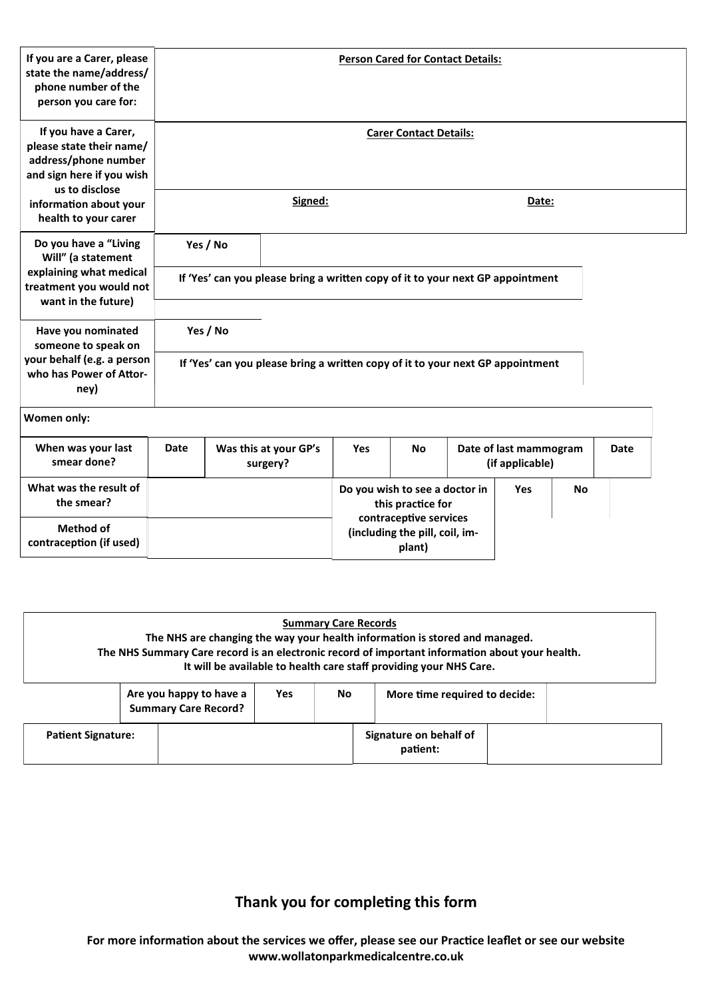| If you are a Carer, please<br>state the name/address/<br>phone number of the<br>person you care for:                     |             | <b>Person Cared for Contact Details:</b>                                                   |                                                                                |            |           |  |                                           |  |      |  |  |  |
|--------------------------------------------------------------------------------------------------------------------------|-------------|--------------------------------------------------------------------------------------------|--------------------------------------------------------------------------------|------------|-----------|--|-------------------------------------------|--|------|--|--|--|
| If you have a Carer,<br>please state their name/<br>address/phone number<br>and sign here if you wish<br>us to disclose  |             | <b>Carer Contact Details:</b>                                                              |                                                                                |            |           |  |                                           |  |      |  |  |  |
| information about your<br>health to your carer                                                                           |             |                                                                                            | Signed:                                                                        |            |           |  | Date:                                     |  |      |  |  |  |
| Do you have a "Living<br>Will" (a statement<br>explaining what medical<br>treatment you would not<br>want in the future) |             | Yes / No<br>If 'Yes' can you please bring a written copy of it to your next GP appointment |                                                                                |            |           |  |                                           |  |      |  |  |  |
| Have you nominated<br>someone to speak on<br>your behalf (e.g. a person<br>who has Power of Attor-<br>ney)               |             | Yes / No                                                                                   | If 'Yes' can you please bring a written copy of it to your next GP appointment |            |           |  |                                           |  |      |  |  |  |
| Women only:                                                                                                              |             |                                                                                            |                                                                                |            |           |  |                                           |  |      |  |  |  |
| When was your last<br>smear done?                                                                                        | <b>Date</b> |                                                                                            | Was this at your GP's<br>surgery?                                              | <b>Yes</b> | <b>No</b> |  | Date of last mammogram<br>(if applicable) |  | Date |  |  |  |
| What was the result of<br>the smear?                                                                                     |             | Do you wish to see a doctor in<br><b>Yes</b><br><b>No</b><br>this practice for             |                                                                                |            |           |  |                                           |  |      |  |  |  |
| <b>Method of</b><br>contraception (if used)                                                                              |             | contraceptive services<br>(including the pill, coil, im-<br>plant)                         |                                                                                |            |           |  |                                           |  |      |  |  |  |

|                           |                                                        |            |     | <b>Summary Care Records</b><br>The NHS are changing the way your health information is stored and managed.<br>The NHS Summary Care record is an electronic record of important information about your health.<br>It will be available to health care staff providing your NHS Care. |  |
|---------------------------|--------------------------------------------------------|------------|-----|-------------------------------------------------------------------------------------------------------------------------------------------------------------------------------------------------------------------------------------------------------------------------------------|--|
|                           | Are you happy to have a<br><b>Summary Care Record?</b> | <b>Yes</b> | No. | More time required to decide:                                                                                                                                                                                                                                                       |  |
| <b>Patient Signature:</b> |                                                        |            |     | Signature on behalf of<br>patient:                                                                                                                                                                                                                                                  |  |

## **Thank you for completing this form**

**For more information about the services we offer, please see our Practice leaflet or see our website www.wollatonparkmedicalcentre.co.uk**